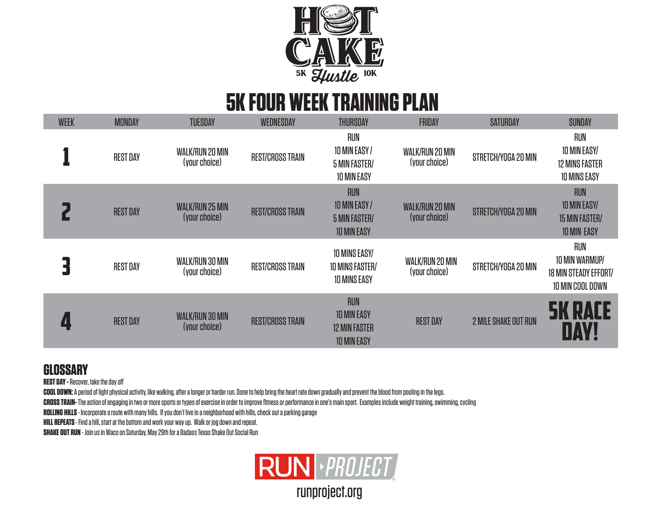

## **5K FOUR WEEK TRAINING PLAN**

| <b>WEEK</b> | <b>MONDAY</b>   | <b>TUESDAY</b>                          | <b>WEDNESDAY</b>        | <b>THURSDAY</b>                                                                | FRIDAY                                  | <b>SATURDAY</b>             | <b>SUNDAY</b>                                                                    |
|-------------|-----------------|-----------------------------------------|-------------------------|--------------------------------------------------------------------------------|-----------------------------------------|-----------------------------|----------------------------------------------------------------------------------|
|             | <b>REST DAY</b> | WALK/RUN 20 MIN<br>(your choice)        | <b>REST/CROSS TRAIN</b> | <b>RUN</b><br>10 MIN EASY /<br><b>5 MIN FASTER/</b><br><b>10 MIN EASY</b>      | WALK/RUN 20 MIN<br>(your choice)        | STRETCH/YOGA 20 MIN         | <b>RUN</b><br>10 MIN EASY/<br><b>12 MINS FASTER</b><br><b>10 MINS EASY</b>       |
|             | <b>REST DAY</b> | <b>WALK/RUN 25 MIN</b><br>(your choice) | <b>REST/CROSS TRAIN</b> | <b>RUN</b><br>10 MIN EASY /<br><b>5 MIN FASTER/</b><br><b>10 MIN EASY</b>      | <b>WALK/RUN 20 MIN</b><br>(your choice) | STRETCH/YOGA 20 MIN         | <b>RUN</b><br><b>10 MIN EASY/</b><br><b>15 MIN FASTER/</b><br><b>10 MIN EASY</b> |
| 5           | <b>REST DAY</b> | WALK/RUN 30 MIN<br>(your choice)        | <b>REST/CROSS TRAIN</b> | 10 MINS EASY/<br><b>10 MINS FASTER/</b><br><b>10 MINS EASY</b>                 | WALK/RUN 20 MIN<br>(your choice)        | STRETCH/YOGA 20 MIN         | <b>RUN</b><br>10 MIN WARMUP/<br><b>18 MIN STEADY EFFORT/</b><br>10 MIN COOL DOWN |
|             | <b>REST DAY</b> | WALK/RUN 30 MIN<br>(your choice)        | <b>REST/CROSS TRAIN</b> | <b>RUN</b><br><b>10 MIN EASY</b><br><b>12 MIN FASTER</b><br><b>10 MIN EASY</b> | <b>REST DAY</b>                         | <b>2 MILE SHAKE OUT RUN</b> |                                                                                  |

## **GLOSSARY**

**REST DAY -** Recover, take the day off

**COOL DOWN:** A period of light physical activity, like walking, after a longer or harder run. Done to help bring the heart rate down gradually and prevent the blood from pooling in the legs.

**CROSS TRAIN-** The action of engaging in two or more sports or types of exercise in order to improve fitness or performance in one's main sport. Examples include weight training, swimming, cycling

**ROLLING HILLS** - Incorporate a route with many hills. If you don't live in a neighborhood with hills, check out a parking garage

**HILL REPEATS** - Find a hill, start at the bottom and work your way up. Walk or jog down and repeat.

**SHAKE OUT RUN** - Join us in Waco on Saturday, May 29th for a Badass Texas Shake Out Social Run



runproject.org